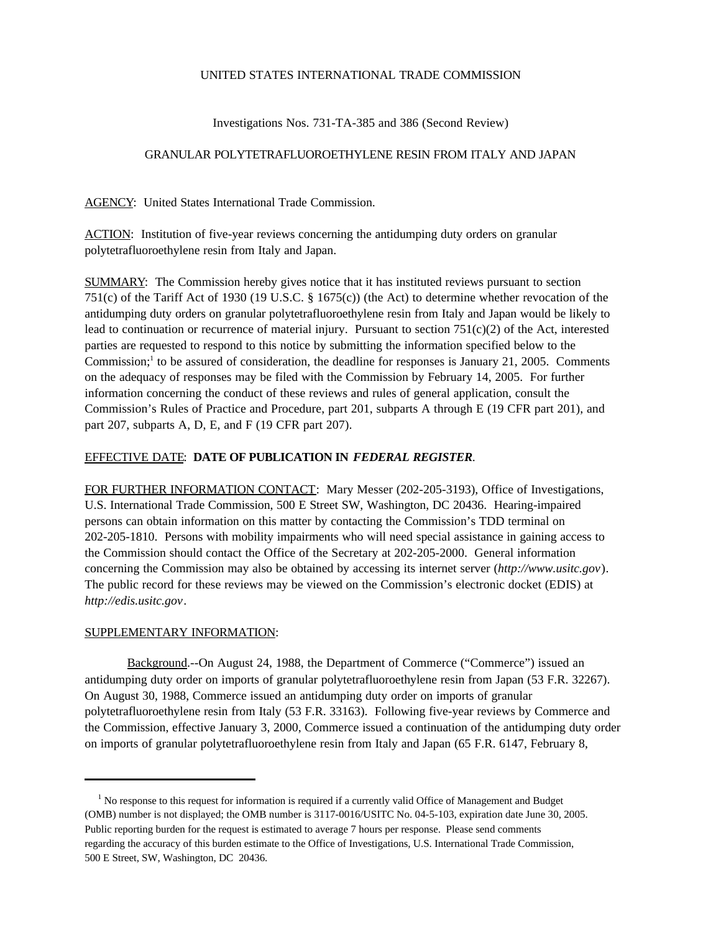## UNITED STATES INTERNATIONAL TRADE COMMISSION

Investigations Nos. 731-TA-385 and 386 (Second Review)

## GRANULAR POLYTETRAFLUOROETHYLENE RESIN FROM ITALY AND JAPAN

AGENCY: United States International Trade Commission.

ACTION: Institution of five-year reviews concerning the antidumping duty orders on granular polytetrafluoroethylene resin from Italy and Japan.

SUMMARY: The Commission hereby gives notice that it has instituted reviews pursuant to section 751(c) of the Tariff Act of 1930 (19 U.S.C. § 1675(c)) (the Act) to determine whether revocation of the antidumping duty orders on granular polytetrafluoroethylene resin from Italy and Japan would be likely to lead to continuation or recurrence of material injury. Pursuant to section  $751(c)(2)$  of the Act, interested parties are requested to respond to this notice by submitting the information specified below to the Commission;<sup>1</sup> to be assured of consideration, the deadline for responses is January 21, 2005. Comments on the adequacy of responses may be filed with the Commission by February 14, 2005. For further information concerning the conduct of these reviews and rules of general application, consult the Commission's Rules of Practice and Procedure, part 201, subparts A through E (19 CFR part 201), and part 207, subparts A, D, E, and F (19 CFR part 207).

## EFFECTIVE DATE: **DATE OF PUBLICATION IN** *FEDERAL REGISTER*.

FOR FURTHER INFORMATION CONTACT: Mary Messer (202-205-3193), Office of Investigations, U.S. International Trade Commission, 500 E Street SW, Washington, DC 20436. Hearing-impaired persons can obtain information on this matter by contacting the Commission's TDD terminal on 202-205-1810. Persons with mobility impairments who will need special assistance in gaining access to the Commission should contact the Office of the Secretary at 202-205-2000. General information concerning the Commission may also be obtained by accessing its internet server (*http://www.usitc.gov*). The public record for these reviews may be viewed on the Commission's electronic docket (EDIS) at *http://edis.usitc.gov*.

## SUPPLEMENTARY INFORMATION:

Background.--On August 24, 1988, the Department of Commerce ("Commerce") issued an antidumping duty order on imports of granular polytetrafluoroethylene resin from Japan (53 F.R. 32267). On August 30, 1988, Commerce issued an antidumping duty order on imports of granular polytetrafluoroethylene resin from Italy (53 F.R. 33163). Following five-year reviews by Commerce and the Commission, effective January 3, 2000, Commerce issued a continuation of the antidumping duty order on imports of granular polytetrafluoroethylene resin from Italy and Japan (65 F.R. 6147, February 8,

<sup>&</sup>lt;sup>1</sup> No response to this request for information is required if a currently valid Office of Management and Budget (OMB) number is not displayed; the OMB number is 3117-0016/USITC No. 04-5-103, expiration date June 30, 2005. Public reporting burden for the request is estimated to average 7 hours per response. Please send comments regarding the accuracy of this burden estimate to the Office of Investigations, U.S. International Trade Commission, 500 E Street, SW, Washington, DC 20436.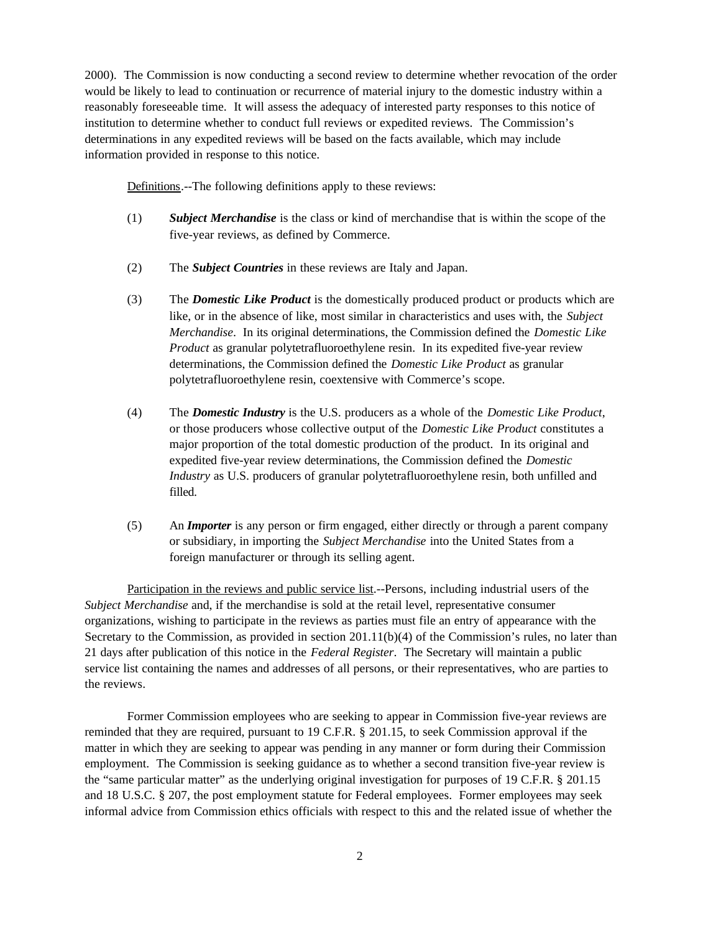2000). The Commission is now conducting a second review to determine whether revocation of the order would be likely to lead to continuation or recurrence of material injury to the domestic industry within a reasonably foreseeable time. It will assess the adequacy of interested party responses to this notice of institution to determine whether to conduct full reviews or expedited reviews. The Commission's determinations in any expedited reviews will be based on the facts available, which may include information provided in response to this notice.

Definitions.--The following definitions apply to these reviews:

- (1) *Subject Merchandise* is the class or kind of merchandise that is within the scope of the five-year reviews, as defined by Commerce.
- (2) The *Subject Countries* in these reviews are Italy and Japan.
- (3) The *Domestic Like Product* is the domestically produced product or products which are like, or in the absence of like, most similar in characteristics and uses with, the *Subject Merchandise*. In its original determinations, the Commission defined the *Domestic Like Product* as granular polytetrafluoroethylene resin. In its expedited five-year review determinations, the Commission defined the *Domestic Like Product* as granular polytetrafluoroethylene resin, coextensive with Commerce's scope.
- (4) The *Domestic Industry* is the U.S. producers as a whole of the *Domestic Like Product*, or those producers whose collective output of the *Domestic Like Product* constitutes a major proportion of the total domestic production of the product. In its original and expedited five-year review determinations, the Commission defined the *Domestic Industry* as U.S. producers of granular polytetrafluoroethylene resin, both unfilled and filled.
- (5) An *Importer* is any person or firm engaged, either directly or through a parent company or subsidiary, in importing the *Subject Merchandise* into the United States from a foreign manufacturer or through its selling agent.

Participation in the reviews and public service list.--Persons, including industrial users of the *Subject Merchandise* and, if the merchandise is sold at the retail level, representative consumer organizations, wishing to participate in the reviews as parties must file an entry of appearance with the Secretary to the Commission, as provided in section 201.11(b)(4) of the Commission's rules, no later than 21 days after publication of this notice in the *Federal Register*. The Secretary will maintain a public service list containing the names and addresses of all persons, or their representatives, who are parties to the reviews.

Former Commission employees who are seeking to appear in Commission five-year reviews are reminded that they are required, pursuant to 19 C.F.R. § 201.15, to seek Commission approval if the matter in which they are seeking to appear was pending in any manner or form during their Commission employment. The Commission is seeking guidance as to whether a second transition five-year review is the "same particular matter" as the underlying original investigation for purposes of 19 C.F.R. § 201.15 and 18 U.S.C. § 207, the post employment statute for Federal employees. Former employees may seek informal advice from Commission ethics officials with respect to this and the related issue of whether the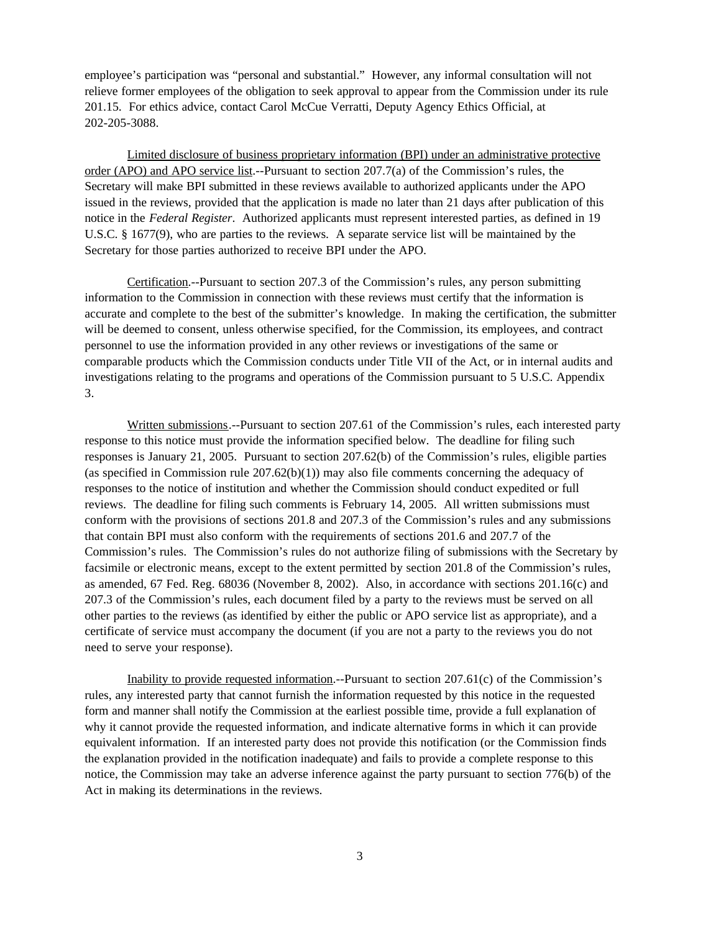employee's participation was "personal and substantial." However, any informal consultation will not relieve former employees of the obligation to seek approval to appear from the Commission under its rule 201.15. For ethics advice, contact Carol McCue Verratti, Deputy Agency Ethics Official, at 202-205-3088.

Limited disclosure of business proprietary information (BPI) under an administrative protective order (APO) and APO service list.--Pursuant to section 207.7(a) of the Commission's rules, the Secretary will make BPI submitted in these reviews available to authorized applicants under the APO issued in the reviews, provided that the application is made no later than 21 days after publication of this notice in the *Federal Register*. Authorized applicants must represent interested parties, as defined in 19 U.S.C. § 1677(9), who are parties to the reviews. A separate service list will be maintained by the Secretary for those parties authorized to receive BPI under the APO.

Certification.--Pursuant to section 207.3 of the Commission's rules, any person submitting information to the Commission in connection with these reviews must certify that the information is accurate and complete to the best of the submitter's knowledge. In making the certification, the submitter will be deemed to consent, unless otherwise specified, for the Commission, its employees, and contract personnel to use the information provided in any other reviews or investigations of the same or comparable products which the Commission conducts under Title VII of the Act, or in internal audits and investigations relating to the programs and operations of the Commission pursuant to 5 U.S.C. Appendix 3.

Written submissions.--Pursuant to section 207.61 of the Commission's rules, each interested party response to this notice must provide the information specified below. The deadline for filing such responses is January 21, 2005. Pursuant to section 207.62(b) of the Commission's rules, eligible parties (as specified in Commission rule  $207.62(b)(1)$ ) may also file comments concerning the adequacy of responses to the notice of institution and whether the Commission should conduct expedited or full reviews. The deadline for filing such comments is February 14, 2005. All written submissions must conform with the provisions of sections 201.8 and 207.3 of the Commission's rules and any submissions that contain BPI must also conform with the requirements of sections 201.6 and 207.7 of the Commission's rules. The Commission's rules do not authorize filing of submissions with the Secretary by facsimile or electronic means, except to the extent permitted by section 201.8 of the Commission's rules, as amended, 67 Fed. Reg. 68036 (November 8, 2002). Also, in accordance with sections 201.16(c) and 207.3 of the Commission's rules, each document filed by a party to the reviews must be served on all other parties to the reviews (as identified by either the public or APO service list as appropriate), and a certificate of service must accompany the document (if you are not a party to the reviews you do not need to serve your response).

Inability to provide requested information.--Pursuant to section 207.61(c) of the Commission's rules, any interested party that cannot furnish the information requested by this notice in the requested form and manner shall notify the Commission at the earliest possible time, provide a full explanation of why it cannot provide the requested information, and indicate alternative forms in which it can provide equivalent information. If an interested party does not provide this notification (or the Commission finds the explanation provided in the notification inadequate) and fails to provide a complete response to this notice, the Commission may take an adverse inference against the party pursuant to section 776(b) of the Act in making its determinations in the reviews.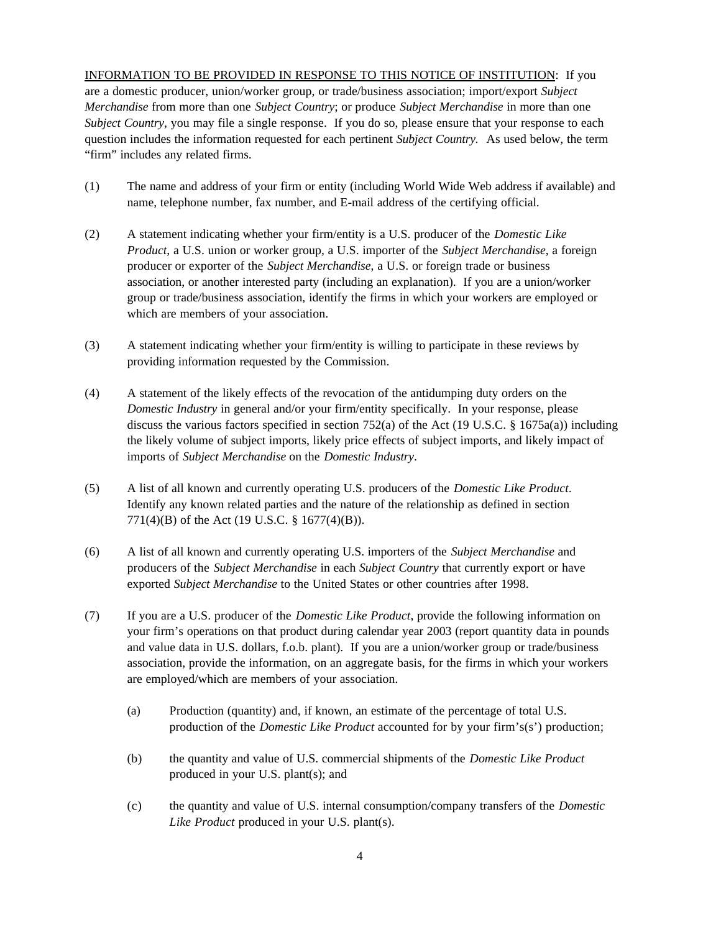INFORMATION TO BE PROVIDED IN RESPONSE TO THIS NOTICE OF INSTITUTION: If you are a domestic producer, union/worker group, or trade/business association; import/export *Subject Merchandise* from more than one *Subject Country*; or produce *Subject Merchandise* in more than one *Subject Country*, you may file a single response. If you do so, please ensure that your response to each question includes the information requested for each pertinent *Subject Country.* As used below, the term "firm" includes any related firms.

- (1) The name and address of your firm or entity (including World Wide Web address if available) and name, telephone number, fax number, and E-mail address of the certifying official.
- (2) A statement indicating whether your firm/entity is a U.S. producer of the *Domestic Like Product*, a U.S. union or worker group, a U.S. importer of the *Subject Merchandise*, a foreign producer or exporter of the *Subject Merchandise*, a U.S. or foreign trade or business association, or another interested party (including an explanation). If you are a union/worker group or trade/business association, identify the firms in which your workers are employed or which are members of your association.
- (3) A statement indicating whether your firm/entity is willing to participate in these reviews by providing information requested by the Commission.
- (4) A statement of the likely effects of the revocation of the antidumping duty orders on the *Domestic Industry* in general and/or your firm/entity specifically. In your response, please discuss the various factors specified in section 752(a) of the Act (19 U.S.C. § 1675a(a)) including the likely volume of subject imports, likely price effects of subject imports, and likely impact of imports of *Subject Merchandise* on the *Domestic Industry*.
- (5) A list of all known and currently operating U.S. producers of the *Domestic Like Product*. Identify any known related parties and the nature of the relationship as defined in section 771(4)(B) of the Act (19 U.S.C. § 1677(4)(B)).
- (6) A list of all known and currently operating U.S. importers of the *Subject Merchandise* and producers of the *Subject Merchandise* in each *Subject Country* that currently export or have exported *Subject Merchandise* to the United States or other countries after 1998.
- (7) If you are a U.S. producer of the *Domestic Like Product*, provide the following information on your firm's operations on that product during calendar year 2003 (report quantity data in pounds and value data in U.S. dollars, f.o.b. plant). If you are a union/worker group or trade/business association, provide the information, on an aggregate basis, for the firms in which your workers are employed/which are members of your association.
	- (a) Production (quantity) and, if known, an estimate of the percentage of total U.S. production of the *Domestic Like Product* accounted for by your firm's(s') production;
	- (b) the quantity and value of U.S. commercial shipments of the *Domestic Like Product* produced in your U.S. plant(s); and
	- (c) the quantity and value of U.S. internal consumption/company transfers of the *Domestic Like Product* produced in your U.S. plant(s).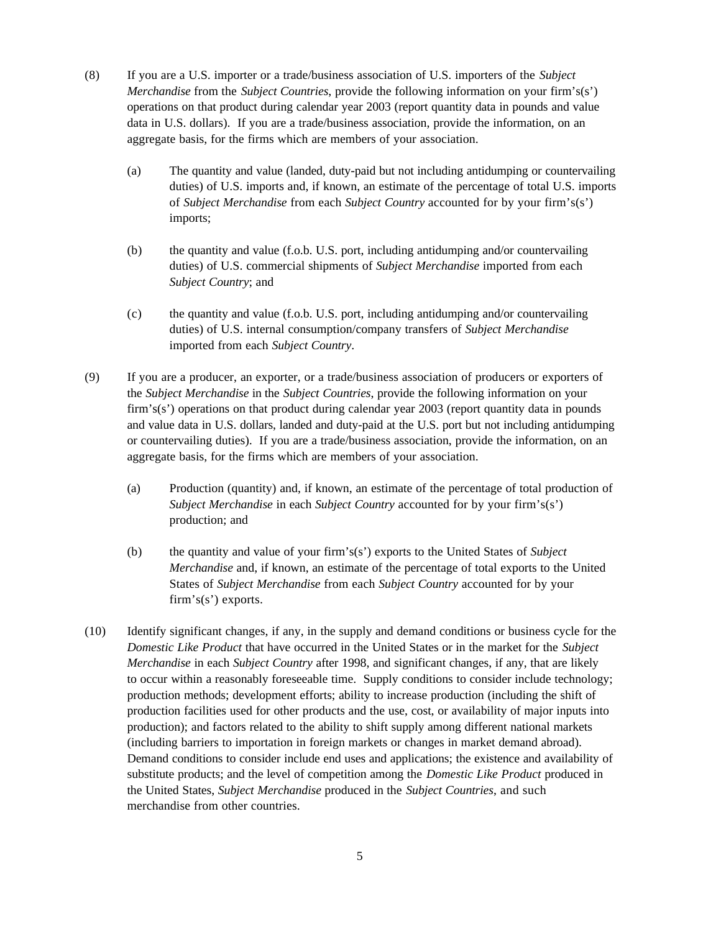- (8) If you are a U.S. importer or a trade/business association of U.S. importers of the *Subject Merchandise* from the *Subject Countries*, provide the following information on your firm's(s') operations on that product during calendar year 2003 (report quantity data in pounds and value data in U.S. dollars). If you are a trade/business association, provide the information, on an aggregate basis, for the firms which are members of your association.
	- (a) The quantity and value (landed, duty-paid but not including antidumping or countervailing duties) of U.S. imports and, if known, an estimate of the percentage of total U.S. imports of *Subject Merchandise* from each *Subject Country* accounted for by your firm's(s') imports;
	- (b) the quantity and value (f.o.b. U.S. port, including antidumping and/or countervailing duties) of U.S. commercial shipments of *Subject Merchandise* imported from each *Subject Country*; and
	- (c) the quantity and value (f.o.b. U.S. port, including antidumping and/or countervailing duties) of U.S. internal consumption/company transfers of *Subject Merchandise* imported from each *Subject Country*.
- (9) If you are a producer, an exporter, or a trade/business association of producers or exporters of the *Subject Merchandise* in the *Subject Countries*, provide the following information on your firm's(s') operations on that product during calendar year 2003 (report quantity data in pounds and value data in U.S. dollars, landed and duty-paid at the U.S. port but not including antidumping or countervailing duties). If you are a trade/business association, provide the information, on an aggregate basis, for the firms which are members of your association.
	- (a) Production (quantity) and, if known, an estimate of the percentage of total production of *Subject Merchandise* in each *Subject Country* accounted for by your firm's(s') production; and
	- (b) the quantity and value of your firm's(s') exports to the United States of *Subject Merchandise* and, if known, an estimate of the percentage of total exports to the United States of *Subject Merchandise* from each *Subject Country* accounted for by your firm's(s') exports.
- (10) Identify significant changes, if any, in the supply and demand conditions or business cycle for the *Domestic Like Product* that have occurred in the United States or in the market for the *Subject Merchandise* in each *Subject Country* after 1998, and significant changes, if any, that are likely to occur within a reasonably foreseeable time. Supply conditions to consider include technology; production methods; development efforts; ability to increase production (including the shift of production facilities used for other products and the use, cost, or availability of major inputs into production); and factors related to the ability to shift supply among different national markets (including barriers to importation in foreign markets or changes in market demand abroad). Demand conditions to consider include end uses and applications; the existence and availability of substitute products; and the level of competition among the *Domestic Like Product* produced in the United States, *Subject Merchandise* produced in the *Subject Countries*, and such merchandise from other countries.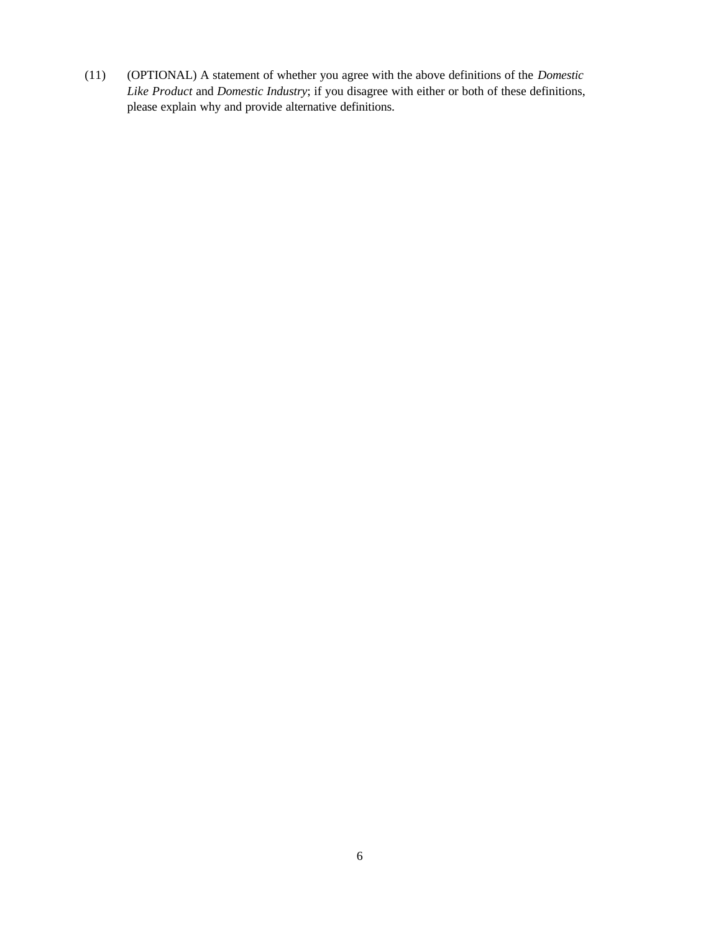(11) (OPTIONAL) A statement of whether you agree with the above definitions of the *Domestic Like Product* and *Domestic Industry*; if you disagree with either or both of these definitions, please explain why and provide alternative definitions.